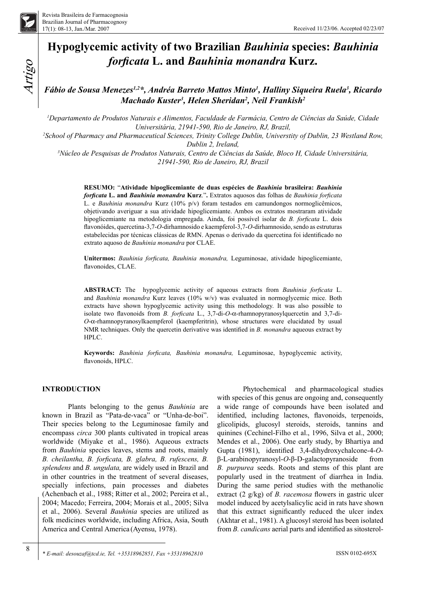

Artigo

# **Hypoglycemic activity of two Brazilian** *Bauhinia* **species:** *Bauhinia forfi cata* **L. and** *Bauhinia monandra* **Kurz.**

*Fábio de Sousa Menezes1,2\*, Andréa Barreto Mattos Minto1 , Halliny Siqueira Ruela3 , Ricardo Machado Kuster3 , Helen Sheridan2 , Neil Frankish2*

*1 Departamento de Produtos Naturais e Alimentos, Faculdade de Farmácia, Centro de Ciências da Saúde, Cidade Universitária, 21941-590, Rio de Janeiro, RJ, Brazil,*

<sup>2</sup> School of Pharmacy and Pharmaceutical Sciences, Trinity College Dublin, Universtity of Dublin, 23 Westland Row, *Dublin 2, Ireland,*

*3 Núcleo de Pesquisas de Produtos Naturais, Centro de Ciências da Saúde, Bloco H, Cidade Universitária, 21941-590, Rio de Janeiro, RJ, Brazil*

**RESUMO:** "**Atividade hipoglicemiante de duas espécies de** *Bauhinia* **brasileira:** *Bauhinia forfi cata* **L. and** *Bauhinia monandra* **Kurz**."**.** Extratos aquosos das folhas de *Bauhinia forfi cata*  L. e *Bauhinia monandra* Kurz (10% p/v) foram testados em camundongos normoglicêmicos, objetivando averiguar a sua atividade hipoglicemiante. Ambos os extratos mostraram atividade hipoglicemiante na metodologia empregada. Ainda, foi possível isolar de *B. forfi cata* L. dois fl avonóides, quercetina-3,7-*O*-dirhamnosido e kaempferol-3,7-*O*-dirhamnosido, sendo as estruturas estabelecidas por técnicas clássicas de RMN. Apenas o derivado da quercetina foi identificado no extrato aquoso de *Bauhinia monandra* por CLAE.

**Unitermos:** *Bauhinia forfi cata, Bauhinia monandra,* Leguminosae, atividade hipoglicemiante, flavonoides, CLAE.

**ABSTRACT:** The hypoglycemic activity of aqueous extracts from *Bauhinia forficata* L. and *Bauhinia monandra* Kurz leaves (10% w/v) was evaluated in normoglycemic mice. Both extracts have shown hypoglycemic activity using this methodology. It was also possible to isolate two flavonoids from *B. forficata* L., 3,7-di-*O*-α-rhamnopyranosylquercetin and 3,7-di-*O*-α-rhamnopyranosylkaempferol (kaempferitrin), whose structures were elucidated by usual NMR techniques. Only the quercetin derivative was identified in *B. monandra* aqueous extract by HPLC.

Keywords: Bauhinia for*ficata, Bauhinia monandra,* Leguminosae, hypoglycemic activity, flavonoids, HPLC.

# **INTRODUCTION**

Plants belonging to the genus *Bauhinia* are known in Brazil as "Pata-de-vaca" or "Unha-de-boi". Their species belong to the Leguminosae family and encompass *circa* 300 plants cultivated in tropical areas worldwide (Miyake et al., 1986). Aqueous extracts from *Bauhinia* species leaves, stems and roots, mainly *B. cheilantha, B. forfi cata, B. glabra, B. rufescens, B. splendens* and *B. ungulata,* are widely used in Brazil and in other countries in the treatment of several diseases, specially infections, pain processes and diabetes (Achenbach et al., 1988; Ritter et al., 2002; Pereira et al., 2004; Macedo; Ferreira, 2004; Morais et al., 2005; Silva et al., 2006). Several *Bauhinia* species are utilized as folk medicines worldwide, including Africa, Asia, South America and Central America (Ayensu, 1978).

Phytochemical and pharmacological studies with species of this genus are ongoing and, consequently a wide range of compounds have been isolated and identified, including lactones, flavonoids, terpenoids, glicolipids, glucosyl steroids, steroids, tannins and quinines (Cechinel-Filho et al., 1996, Silva et al., 2000; Mendes et al., 2006). One early study, by Bhartiya and Gupta (1981), identified 3,4-dihydroxychalcone-4-O $β$ -L-arabinopyranosyl-*O*-β-D-galactopyranoside from *B. purpurea* seeds. Roots and stems of this plant are popularly used in the treatment of diarrhea in India. During the same period studies with the methanolic extract (2 g/kg) of *B. racemosa* flowers in gastric ulcer model induced by acetylsalicylic acid in rats have shown that this extract significantly reduced the ulcer index (Akhtar et al., 1981). A glucosyl steroid has been isolated from *B. candicans* aerial parts and identified as sitosterol-

 $8 \mu$ 8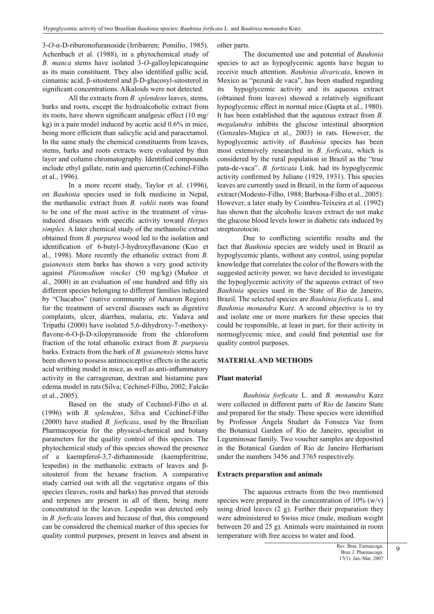3-*O*-α-D-riburonofuranoside (Irribarren; Pomilio, 1985). Achenbach et al. (1988), in a phytochemical study of *B. manca* stems have isolated 3-*O*-galloylepicatequine as its main constituent. They also identified gallic acid, cinnamic acid,  $\beta$ -sitosterol and  $\beta$ -D-glucosyl-sitosterol in significant concentrations. Alkaloids were not detected.

 All the extracts from *B. splendens* leaves, stems, barks and roots, except the hydroalcoholic extract from its roots, have shown significant analgesic effect (10 mg/ kg) in a pain model induced by acetic acid 0.6% in mice, being more efficient than salicylic acid and paracetamol. In the same study the chemical constituents from leaves, stems, barks and roots extracts were evaluated by thin layer and column chromatography. Identified compounds include ethyl gallate, rutin and quercetin (Cechinel-Filho et al., 1996).

 In a more recent study, Taylor et al. (1996), on *Bauhinia* species used in folk medicine in Nepal, the methanolic extract from *B. vahlii* roots was found to be one of the most active in the treatment of virusinduced diseases with specific activity toward *Herpes simplex*. A later chemical study of the methanolic extract obtained from *B. purpurea* wood led to the isolation and identification of 6-butyl-3-hydroxyflavanone (Kuo et al., 1998). More recently the ethanolic extract from *B. guianensis* stem barks has shown a very good activity against *Plasmodium vinckei* (50 mg/kg) (Muñoz et al., 2000) in an evaluation of one hundred and fifty six different species belonging to different families indicated by "Chacabos" (native community of Amazon Region) for the treatment of several diseases such as digestive complaints, ulcer, diarrhea, malaria, etc. Yadava and Tripathi (2000) have isolated 5,6-dihydroxy-7-methoxyflavone-6-O- $\beta$ -D-xilopyranoside from the chloroform fraction of the total ethanolic extract from *B. purpurea* barks. Extracts from the bark of *B. guianensis* stems have been shown to possess antinociceptive effects in the acetic acid writhing model in mice, as well as anti-inflammatory activity in the carrageenan, dextran and histamine paw edema model in rats (Silva; Cechinel-Filho, 2002; Falcão et al., 2005).

 Based on the study of Cechinel-Filho et al. (1996) with *B. splendens*, Silva and Cechinel-Filho (2000) have studied *B. forficata*, used by the Brazilian Pharmacopoeia for the physical-chemical and botany parameters for the quality control of this species. The phytochemical study of this species showed the presence of a kaempferol-3,7-dirhamnoside (kaempferitrine, lespedin) in the methanolic extracts of leaves and  $\beta$ sitosterol from the hexane fraction. A comparative study carried out with all the vegetative organs of this species (leaves, roots and barks) has proved that steroids and terpenes are present in all of them, being more concentrated in the leaves. Lespedin was detected only in *B. forficata* leaves and because of that, this compound can be considered the chemical marker of this species for quality control purposes, present in leaves and absent in

other parts.

 The documented use and potential of *Bauhinia* species to act as hypoglycemic agents have begun to receive much attention. *Bauhinia divaricata*, known in Mexico as "pezunã de vaca", has been studied regarding its hypoglycemic activity and its aqueous extract (obtained from leaves) showed a relatively significant hypoglycemic effect in normal mice (Gupta et al., 1980). It has been established that the aqueous extract from *B. megalandra* inhibits the glucose intestinal absorption (Gonzales-Mujica et al., 2003) in rats. However, the hypoglycemic activity of *Bauhinia* species has been most extensively researched in *B. forficata*, which is considered by the rural population in Brazil as the "true pata-de-vaca". *B. forticata* Link. had its hypoglycemic activity confirmed by Juliane (1929, 1931). This species leaves are currently used in Brazil, in the form of aqueous extract(Modesto-Filho, 1988; Barbosa-Filho et al., 2005). However, a later study by Coimbra-Teixeira et al. (1992) has shown that the alcoholic leaves extract do not make the glucose blood levels lower in diabetic rats induced by streptozotocin.

Due to conflicting scientific results and the fact that *Bauhinia* species are widely used in Brazil as hypoglycemic plants, without any control, using popular knowledge that correlates the color of the flowers with the suggested activity power, we have decided to investigate the hypoglycemic activity of the aqueous extract of two *Bauhinia* species used in the State of Rio de Janeiro, Brazil. The selected species are *Bauhinia forficata* L. and *Bauhinia monandra* Kurz. A second objective is to try and isolate one or more markers for these species that could be responsible, at least in part, for their activity in normoglycemic mice, and could find potential use for quality control purposes.

### **MATERIAL AND METHODS**

## **Plant material**

*Bauhinia forfi cata* L. and *B. monandra* Kurz were collected in different parts of Rio de Janeiro State and prepared for the study. These species were identified by Professor Ângela Studart da Fonseca Vaz from the Botanical Garden of Rio de Janeiro, specialist in Leguminosae family. Two voucher samples are deposited in the Botanical Garden of Rio de Janeiro Herbarium under the numbers 3456 and 3765 respectively.

## **Extracts preparation and animals**

 The aqueous extracts from the two mentioned species were prepared in the concentration of  $10\%$  (w/v) using dried leaves (2 g). Further their preparation they were administered to Swiss mice (male, medium weight between 20 and 25 g). Animals were maintained in room temperature with free access to water and food.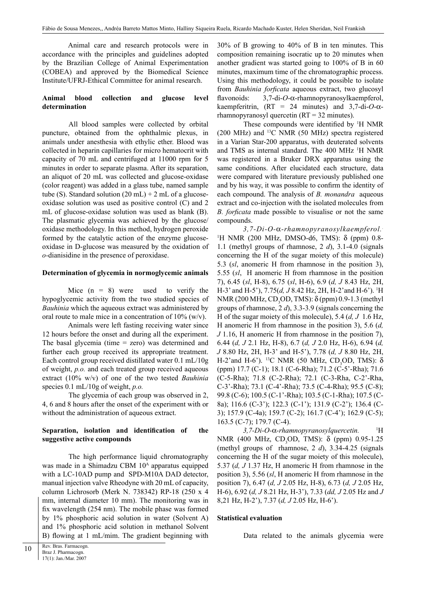Animal care and research protocols were in accordance with the principles and guidelines adopted by the Brazilian College of Animal Experimentation (COBEA) and approved by the Biomedical Science Institute/UFRJ-Ethical Committee for animal research.

## **Animal blood collection and glucose level determination**

 All blood samples were collected by orbital puncture, obtained from the ophthalmic plexus, in animals under anesthesia with ethylic ether. Blood was collected in heparin capillaries for micro hematocrit with capacity of 70 mL and centrifuged at 11000 rpm for 5 minutes in order to separate plasma. After its separation, an aliquot of 20 mL was collected and glucose-oxidase (color reagent) was added in a glass tube, named sample tube (S). Standard solution  $(20 \text{ mL}) + 2 \text{ mL of a glucose}$ oxidase solution was used as positive control (C) and 2 mL of glucose-oxidase solution was used as blank (B). The plasmatic glycemia was achieved by the glucose/ oxidase methodology. In this method, hydrogen peroxide formed by the catalytic action of the enzyme glucoseoxidase in D-glucose was measured by the oxidation of *o-*dianisidine in the presence of peroxidase.

#### **Determination of glycemia in normoglycemic animals**

Mice  $(n = 8)$  were used to verify the hypoglycemic activity from the two studied species of *Bauhinia* which the aqueous extract was administered by oral route to male mice in a concentration of  $10\%$  (w/v).

Animals were left fasting receiving water since 12 hours before the onset and during all the experiment. The basal glycemia (time = zero) was determined and further each group received its appropriate treatment. Each control group received distillated water 0.1 mL/10g of weight, *p.o.* and each treated group received aqueous extract (10% w/v) of one of the two tested *Bauhinia* species 0.1 mL/10g of weight, *p.o.*

 The glycemia of each group was observed in 2, 4, 6 and 8 hours after the onset of the experiment with or without the administration of aqueous extract.

# Separation, isolation and identification of the **suggestive active compounds**

 The high performance liquid chromatography was made in a Shimadzu CBM 10<sup>A</sup> apparatus equipped with a LC-10AD pump and SPD-M10A DAD detector, manual injection valve Rheodyne with 20 mL of capacity, column Lichrosorb (Merk N. 738342) RP-18 (250 x 4 mm, internal diameter 10 mm). The monitoring was in fix wavelength  $(254 \text{ nm})$ . The mobile phase was formed by 1% phosphoric acid solution in water (Solvent A) and 1% phosphoric acid solution in methanol Solvent B) flowing at 1 mL/mim. The gradient beginning with 30% of B growing to 40% of B in ten minutes. This composition remaining isocratic up to 20 minutes when another gradient was started going to 100% of B in 60 minutes, maximum time of the chromatographic process. Using this methodology, it could be possible to isolate from *Bauhinia forficata* aqueous extract, two glucosyl fl avonoids: 3,7-di-*O*-α-rhamnopyranosylkaempferol, kaempferitrin, (RT = 24 minutes) and 3,7-di-*O*-αrhamnopyranosyl quercetin (RT = 32 minutes).

These compounds were identified by  $H NMR$  $(200 \text{ MHz})$  and <sup>13</sup>C NMR  $(50 \text{ MHz})$  spectra registered in a Varian Star-200 apparatus, with deuterated solvents and TMS as internal standard. The 400 MHz 1 H NMR was registered in a Bruker DRX apparatus using the same conditions. After elucidated each structure, data were compared with literature previously published one and by his way, it was possible to confirm the identity of each compound. The analysis of *B. monandra* aqueous extract and co-injection with the isolated molecules from *B. forficata* made possible to visualise or not the same compounds.

*3,7-Di-O-*α*-rhamnopyranosylkaempferol..* 1 H NMR (200 MHz, DMSO-d6, TMS): δ (ppm) 0.8- 1.1 (methyl groups of rhamnose, 2 *d*), 3.1-4.0 (signals concerning the H of the sugar moiety of this molecule) 5.3 (*sl*, anomeric H from rhamnose in the position 3), 5.55 (*sl*, H anomeric H from rhamnose in the position 7), 6.45 (*sl*, H-8), 6.75 (*sl*, H-6), 6.9 (*d, J* 8.43 Hz, 2H, H-3' and H-5'), 7.75(*d, J* 8.42 Hz, 2H, H-2'and H-6'). 1 H NMR (200 MHz, CD<sub>3</sub>OD, TMS): δ (ppm) 0.9-1.3 (methyl groups of rhamnose, 2 *d*), 3.3-3.9 (signals concerning the H of the sugar moiety of this molecule), 5.4 (*d, J* 1.6 Hz, H anomeric H from rhamnose in the position 3), 5.6 (*d, J* 1.16, H anomeric H from rhamnose in the position 7), 6.44 (*d, J* 2.1 Hz, H-8), 6.7 (*d, J* 2.0 Hz, H-6), 6.94 (*d, J* 8.80 Hz, 2H, H-3' and H-5'), 7.78 (*d, J* 8.80 Hz, 2H, H-2'and H-6'). <sup>13</sup>C NMR (50 MHz, CD<sub>3</sub>OD, TMS): δ (ppm) 17.7 (C-1); 18.1 (C-6-Rha); 71.2 (C-5'-Rha); 71.6 (C-5-Rha); 71.8 (C-2-Rha); 72.1 (C-3-Rha, C-2'-Rha, C-3'-Rha); 73.1 (C-4'-Rha); 73.5 (C-4-Rha); 95.5 (C-8); 99.8 (C-6); 100.5 (C-1'-Rha); 103.5 (C-1-Rha); 107.5 (C-8a); 116.6 (C-3'); 122.3 (C-1'); 131.9 (C-2'); 136.4 (C-3); 157.9 (C-4a); 159.7 (C-2); 161.7 (C-4'); 162.9 (C-5); 163.5 (C-7); 179.7 (C-4).

*3,7-Di-O-*α*-rhamnopyranosylquercetin.* <sup>1</sup>  $1H$ NMR (400 MHz, CD<sub>3</sub>OD, TMS): δ (ppm) 0.95-1.25 (methyl groups of rhamnose, 2 *d*), 3.34-4.25 (signals concerning the H of the sugar moiety of this molecule), 5.37 (*d, J* 1.37 Hz, H anomeric H from rhamnose in the position 3), 5.56 (*sl*, H anomeric H from rhamnose in the position 7), 6.47 (*d, J* 2.05 Hz, H-8), 6.73 (*d, J* 2.05 Hz, H-6), 6.92 (*d, J* 8.21 Hz, H-3'), 7.33 (*dd, J* 2.05 Hz and *J* 8,21 Hz, H-2'), 7.37 (*d, J* 2.05 Hz, H-6').

## **Statistical evaluation**

Data related to the animals glycemia were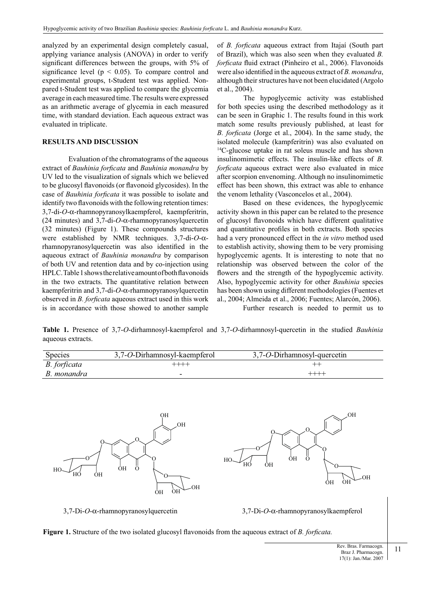analyzed by an experimental design completely casual, applying variance analysis (ANOVA) in order to verify significant differences between the groups, with 5% of significance level ( $p < 0.05$ ). To compare control and experimental groups, t-Student test was applied. Nonpared t-Student test was applied to compare the glycemia average in each measured time. The results were expressed as an arithmetic average of glycemia in each measured time, with standard deviation. Each aqueous extract was evaluated in triplicate.

## **RESULTS AND DISCUSSION**

 Evaluation of the chromatograms of the aqueous extract of *Bauhinia forficata* and *Bauhinia monandra* by UV led to the visualization of signals which we believed to be glucosyl flavonoids (or flavonoid glycosides). In the case of *Bauhinia forficata* it was possible to isolate and identify two flavonoids with the following retention times: 3,7-di-*O*-α-rhamnopyranosylkaempferol, kaempferitrin, (24 minutes) and 3,7-di-*O*-α-rhamnopyranosylquercetin (32 minutes) (Figure 1). These compounds structures were established by NMR techniques. 3,7-di-*O*-αrhamnopyranosylquercetin was also identified in the aqueous extract of *Bauhinia monandra* by comparison of both UV and retention data and by co-injection using HPLC. Table 1 shows the relative amount of both flavonoids in the two extracts. The quantitative relation between kaempferitrin and 3,7-di-*O*-α-rhamnopyranosylquercetin observed in *B. forficata* aqueous extract used in this work is in accordance with those showed to another sample

of *B. forfi cata* aqueous extract from Itajaí (South part of Brazil), which was also seen when they evaluated *B. forficata* fluid extract (Pinheiro et al., 2006). Flavonoids were also identified in the aqueous extract of *B. monandra*, although their structures have not been elucidated (Argolo et al., 2004).

 The hypoglycemic activity was established for both species using the described methodology as it can be seen in Graphic 1. The results found in this work match some results previously published, at least for *B. forficata* (Jorge et al., 2004). In the same study, the isolated molecule (kampferitrin) was also evaluated on 14C-glucose uptake in rat soleus muscle and has shown insulinomimetic effects. The insulin-like effects of *B. forficata* aqueous extract were also evaluated in mice after scorpion envenoming. Although no insulinomimetic effect has been shown, this extract was able to enhance the venom lethality (Vasconcelos et al., 2004).

Based on these evidences, the hypoglycemic activity shown in this paper can be related to the presence of glucosyl flavonoids which have different qualitative and quantitative profiles in both extracts. Both species had a very pronounced effect in the *in vitro* method used to establish activity, showing them to be very promising hypoglycemic agents. It is interesting to note that no relationship was observed between the color of the flowers and the strength of the hypoglycemic activity. Also, hypoglycemic activity for other *Bauhinia* species has been shown using different methodologies (Fuentes et al., 2004; Almeida et al., 2006; Fuentes; Alarcón, 2006).

Further research is needed to permit us to

**Table 1.** Presence of 3,7-*O*-dirhamnosyl-kaempferol and 3,7-*O*-dirhamnosyl-quercetin in the studied *Bauhinia* aqueous extracts.

| <b>Species</b> | 3.7- <i>O</i> -Dirhamnosyl-kaempferol | 3,7- <i>O</i> -Dirhamnosyl-quercetin |
|----------------|---------------------------------------|--------------------------------------|
| B. forficata   | ++++                                  |                                      |
| monandra       | -                                     | ++++                                 |



3,7-Di-*O*-α-rhamnopyranosylquercetin 3,7-Di-*O*-α-rhamnopyranosylkaempferol

**Figure 1.** Structure of the two isolated glucosyl flavonoids from the aqueous extract of *B. forficata.* 

Rev. Bras. Farmacogn. Braz J. Pharmacogn. 17(1): Jan./Mar. 2007

OH

OH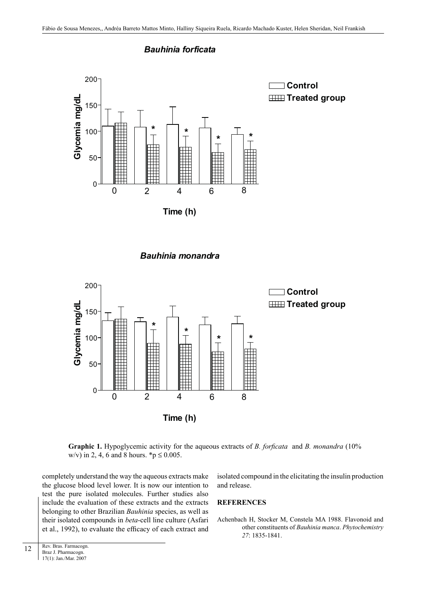# *Bauhinia forficata*



*Bauhinia monandra*



**Graphic 1.** Hypoglycemic activity for the aqueous extracts of *B. forfi cata* and *B. monandra* (10% w/v) in 2, 4, 6 and 8 hours. \*p  $\leq 0.005$ .

completely understand the way the aqueous extracts make the glucose blood level lower. It is now our intention to test the pure isolated molecules. Further studies also include the evaluation of these extracts and the extracts belonging to other Brazilian *Bauhinia* species, as well as their isolated compounds in *beta*-cell line culture (Asfari et al., 1992), to evaluate the efficacy of each extract and isolated compound in the elicitating the insulin production and release.

## **REFERENCES**

Achenbach H, Stocker M, Constela MA 1988. Flavonoid and other constituents of *Bauhinia manca*. *Phytochemistry 27*: 1835-1841.